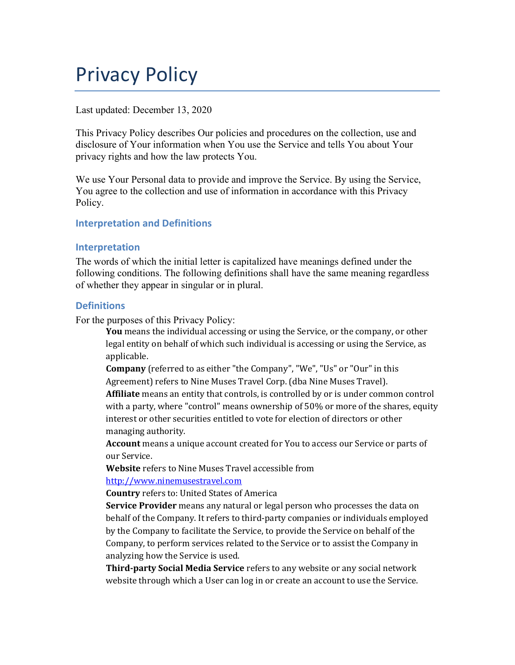# Privacy Policy

Last updated: December 13, 2020

This Privacy Policy describes Our policies and procedures on the collection, use and disclosure of Your information when You use the Service and tells You about Your privacy rights and how the law protects You.

We use Your Personal data to provide and improve the Service. By using the Service, You agree to the collection and use of information in accordance with this Privacy Policy.

#### Interpretation and Definitions

#### Interpretation

The words of which the initial letter is capitalized have meanings defined under the following conditions. The following definitions shall have the same meaning regardless of whether they appear in singular or in plural.

#### **Definitions**

For the purposes of this Privacy Policy:

You means the individual accessing or using the Service, or the company, or other legal entity on behalf of which such individual is accessing or using the Service, as applicable.

Company (referred to as either "the Company", "We", "Us" or "Our" in this Agreement) refers to Nine Muses Travel Corp. (dba Nine Muses Travel).

Affiliate means an entity that controls, is controlled by or is under common control with a party, where "control" means ownership of 50% or more of the shares, equity interest or other securities entitled to vote for election of directors or other managing authority.

Account means a unique account created for You to access our Service or parts of our Service.

Website refers to Nine Muses Travel accessible from http://www.ninemusestravel.com

Country refers to: United States of America

**Service Provider** means any natural or legal person who processes the data on behalf of the Company. It refers to third-party companies or individuals employed by the Company to facilitate the Service, to provide the Service on behalf of the Company, to perform services related to the Service or to assist the Company in analyzing how the Service is used.

Third-party Social Media Service refers to any website or any social network website through which a User can log in or create an account to use the Service.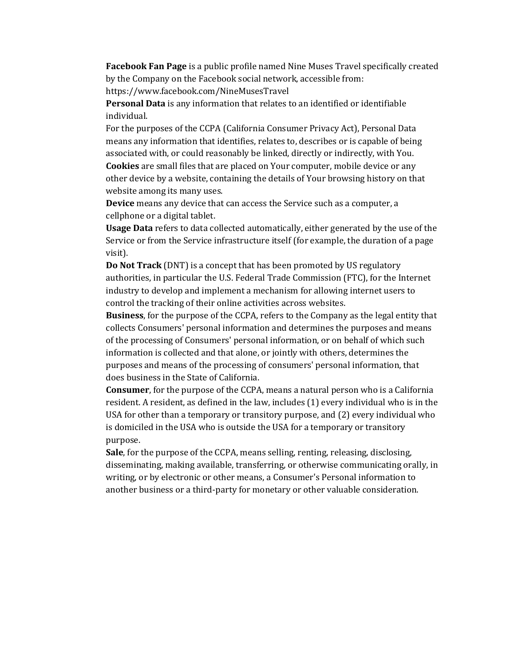Facebook Fan Page is a public profile named Nine Muses Travel specifically created by the Company on the Facebook social network, accessible from:

https://www.facebook.com/NineMusesTravel

Personal Data is any information that relates to an identified or identifiable individual.

For the purposes of the CCPA (California Consumer Privacy Act), Personal Data means any information that identifies, relates to, describes or is capable of being associated with, or could reasonably be linked, directly or indirectly, with You. Cookies are small files that are placed on Your computer, mobile device or any other device by a website, containing the details of Your browsing history on that

website among its many uses.

Device means any device that can access the Service such as a computer, a cellphone or a digital tablet.

Usage Data refers to data collected automatically, either generated by the use of the Service or from the Service infrastructure itself (for example, the duration of a page visit).

Do Not Track (DNT) is a concept that has been promoted by US regulatory authorities, in particular the U.S. Federal Trade Commission (FTC), for the Internet industry to develop and implement a mechanism for allowing internet users to control the tracking of their online activities across websites.

Business, for the purpose of the CCPA, refers to the Company as the legal entity that collects Consumers' personal information and determines the purposes and means of the processing of Consumers' personal information, or on behalf of which such information is collected and that alone, or jointly with others, determines the purposes and means of the processing of consumers' personal information, that does business in the State of California.

Consumer, for the purpose of the CCPA, means a natural person who is a California resident. A resident, as defined in the law, includes (1) every individual who is in the USA for other than a temporary or transitory purpose, and (2) every individual who is domiciled in the USA who is outside the USA for a temporary or transitory purpose.

Sale, for the purpose of the CCPA, means selling, renting, releasing, disclosing, disseminating, making available, transferring, or otherwise communicating orally, in writing, or by electronic or other means, a Consumer's Personal information to another business or a third-party for monetary or other valuable consideration.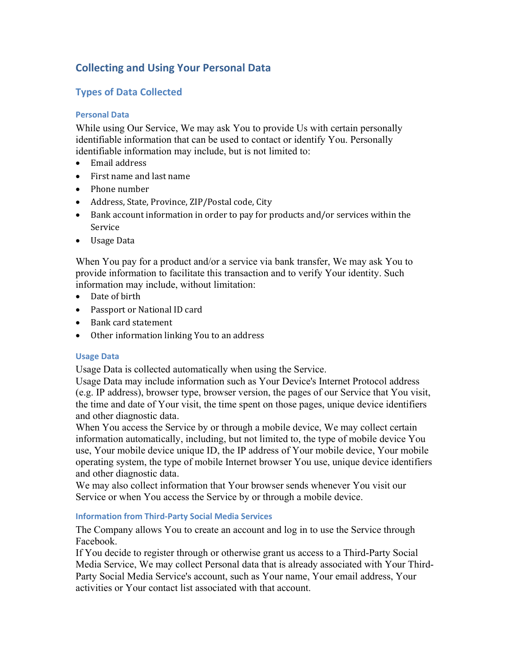## Collecting and Using Your Personal Data

## Types of Data Collected

#### Personal Data

While using Our Service, We may ask You to provide Us with certain personally identifiable information that can be used to contact or identify You. Personally identifiable information may include, but is not limited to:

- Email address
- First name and last name
- Phone number
- Address, State, Province, ZIP/Postal code, City
- Bank account information in order to pay for products and/or services within the Service
- Usage Data

When You pay for a product and/or a service via bank transfer, We may ask You to provide information to facilitate this transaction and to verify Your identity. Such information may include, without limitation:

- Date of birth
- Passport or National ID card
- Bank card statement
- Other information linking You to an address

#### Usage Data

Usage Data is collected automatically when using the Service.

Usage Data may include information such as Your Device's Internet Protocol address (e.g. IP address), browser type, browser version, the pages of our Service that You visit, the time and date of Your visit, the time spent on those pages, unique device identifiers and other diagnostic data.

When You access the Service by or through a mobile device, We may collect certain information automatically, including, but not limited to, the type of mobile device You use, Your mobile device unique ID, the IP address of Your mobile device, Your mobile operating system, the type of mobile Internet browser You use, unique device identifiers and other diagnostic data.

We may also collect information that Your browser sends whenever You visit our Service or when You access the Service by or through a mobile device.

#### Information from Third-Party Social Media Services

The Company allows You to create an account and log in to use the Service through Facebook.

If You decide to register through or otherwise grant us access to a Third-Party Social Media Service, We may collect Personal data that is already associated with Your Third-Party Social Media Service's account, such as Your name, Your email address, Your activities or Your contact list associated with that account.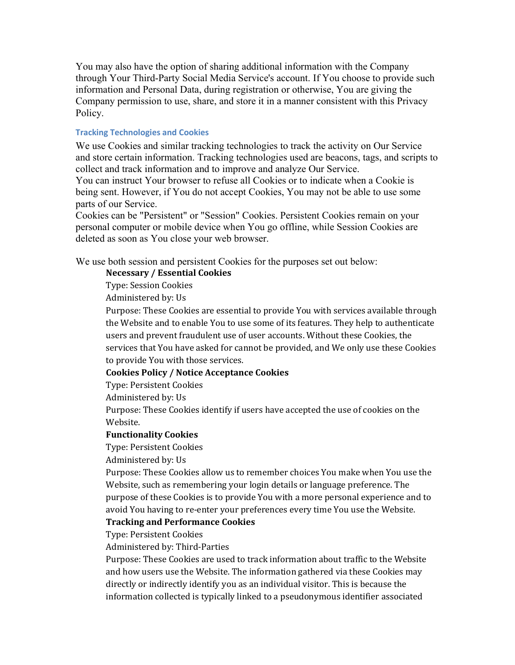You may also have the option of sharing additional information with the Company through Your Third-Party Social Media Service's account. If You choose to provide such information and Personal Data, during registration or otherwise, You are giving the Company permission to use, share, and store it in a manner consistent with this Privacy Policy.

#### Tracking Technologies and Cookies

We use Cookies and similar tracking technologies to track the activity on Our Service and store certain information. Tracking technologies used are beacons, tags, and scripts to collect and track information and to improve and analyze Our Service.

You can instruct Your browser to refuse all Cookies or to indicate when a Cookie is being sent. However, if You do not accept Cookies, You may not be able to use some parts of our Service.

Cookies can be "Persistent" or "Session" Cookies. Persistent Cookies remain on your personal computer or mobile device when You go offline, while Session Cookies are deleted as soon as You close your web browser.

We use both session and persistent Cookies for the purposes set out below:

#### Necessary / Essential Cookies

Type: Session Cookies

Administered by: Us

Purpose: These Cookies are essential to provide You with services available through the Website and to enable You to use some of its features. They help to authenticate users and prevent fraudulent use of user accounts. Without these Cookies, the services that You have asked for cannot be provided, and We only use these Cookies to provide You with those services.

#### Cookies Policy / Notice Acceptance Cookies

Type: Persistent Cookies

Administered by: Us

Purpose: These Cookies identify if users have accepted the use of cookies on the Website.

#### Functionality Cookies

Type: Persistent Cookies

Administered by: Us

Purpose: These Cookies allow us to remember choices You make when You use the Website, such as remembering your login details or language preference. The purpose of these Cookies is to provide You with a more personal experience and to avoid You having to re-enter your preferences every time You use the Website.

#### Tracking and Performance Cookies

Type: Persistent Cookies

Administered by: Third-Parties

Purpose: These Cookies are used to track information about traffic to the Website and how users use the Website. The information gathered via these Cookies may directly or indirectly identify you as an individual visitor. This is because the information collected is typically linked to a pseudonymous identifier associated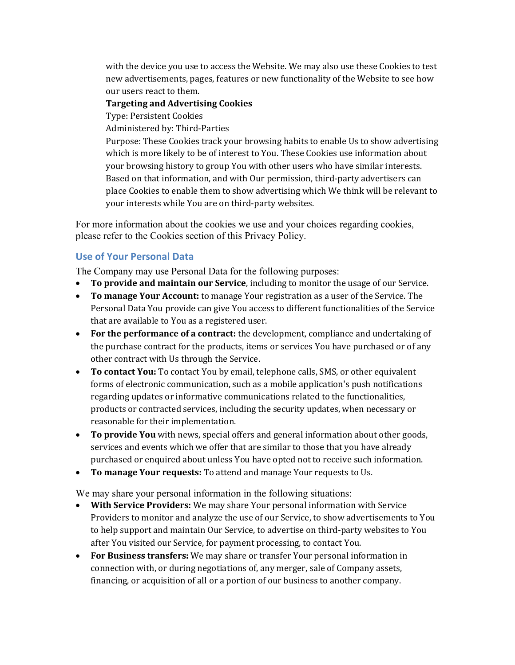with the device you use to access the Website. We may also use these Cookies to test new advertisements, pages, features or new functionality of the Website to see how our users react to them.

#### Targeting and Advertising Cookies

Type: Persistent Cookies

Administered by: Third-Parties

Purpose: These Cookies track your browsing habits to enable Us to show advertising which is more likely to be of interest to You. These Cookies use information about your browsing history to group You with other users who have similar interests. Based on that information, and with Our permission, third-party advertisers can place Cookies to enable them to show advertising which We think will be relevant to your interests while You are on third-party websites.

For more information about the cookies we use and your choices regarding cookies, please refer to the Cookies section of this Privacy Policy.

## Use of Your Personal Data

The Company may use Personal Data for the following purposes:

- To provide and maintain our Service, including to monitor the usage of our Service.
- To manage Your Account: to manage Your registration as a user of the Service. The Personal Data You provide can give You access to different functionalities of the Service that are available to You as a registered user.
- For the performance of a contract: the development, compliance and undertaking of the purchase contract for the products, items or services You have purchased or of any other contract with Us through the Service.
- To contact You: To contact You by email, telephone calls, SMS, or other equivalent forms of electronic communication, such as a mobile application's push notifications regarding updates or informative communications related to the functionalities, products or contracted services, including the security updates, when necessary or reasonable for their implementation.
- To provide You with news, special offers and general information about other goods, services and events which we offer that are similar to those that you have already purchased or enquired about unless You have opted not to receive such information.
- To manage Your requests: To attend and manage Your requests to Us.

We may share your personal information in the following situations:

- With Service Providers: We may share Your personal information with Service Providers to monitor and analyze the use of our Service, to show advertisements to You to help support and maintain Our Service, to advertise on third-party websites to You after You visited our Service, for payment processing, to contact You.
- For Business transfers: We may share or transfer Your personal information in connection with, or during negotiations of, any merger, sale of Company assets, financing, or acquisition of all or a portion of our business to another company.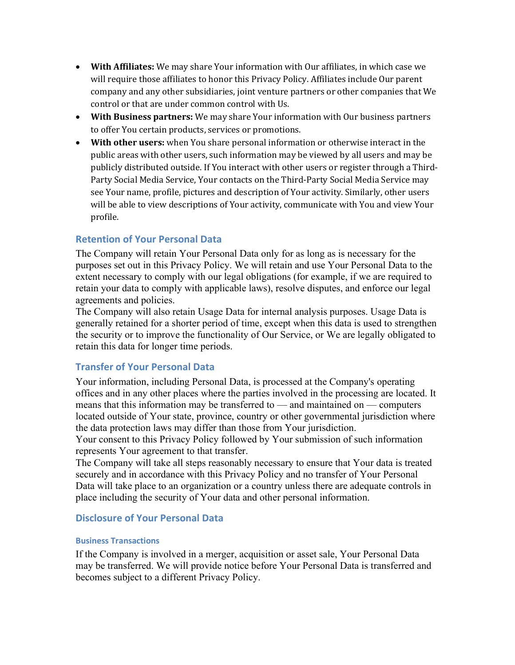- With Affiliates: We may share Your information with Our affiliates, in which case we will require those affiliates to honor this Privacy Policy. Affiliates include Our parent company and any other subsidiaries, joint venture partners or other companies that We control or that are under common control with Us.
- With Business partners: We may share Your information with Our business partners to offer You certain products, services or promotions.
- With other users: when You share personal information or otherwise interact in the public areas with other users, such information may be viewed by all users and may be publicly distributed outside. If You interact with other users or register through a Third-Party Social Media Service, Your contacts on the Third-Party Social Media Service may see Your name, profile, pictures and description of Your activity. Similarly, other users will be able to view descriptions of Your activity, communicate with You and view Your profile.

#### Retention of Your Personal Data

The Company will retain Your Personal Data only for as long as is necessary for the purposes set out in this Privacy Policy. We will retain and use Your Personal Data to the extent necessary to comply with our legal obligations (for example, if we are required to retain your data to comply with applicable laws), resolve disputes, and enforce our legal agreements and policies.

The Company will also retain Usage Data for internal analysis purposes. Usage Data is generally retained for a shorter period of time, except when this data is used to strengthen the security or to improve the functionality of Our Service, or We are legally obligated to retain this data for longer time periods.

#### Transfer of Your Personal Data

Your information, including Personal Data, is processed at the Company's operating offices and in any other places where the parties involved in the processing are located. It means that this information may be transferred to — and maintained on — computers located outside of Your state, province, country or other governmental jurisdiction where the data protection laws may differ than those from Your jurisdiction.

Your consent to this Privacy Policy followed by Your submission of such information represents Your agreement to that transfer.

The Company will take all steps reasonably necessary to ensure that Your data is treated securely and in accordance with this Privacy Policy and no transfer of Your Personal Data will take place to an organization or a country unless there are adequate controls in place including the security of Your data and other personal information.

#### Disclosure of Your Personal Data

#### Business Transactions

If the Company is involved in a merger, acquisition or asset sale, Your Personal Data may be transferred. We will provide notice before Your Personal Data is transferred and becomes subject to a different Privacy Policy.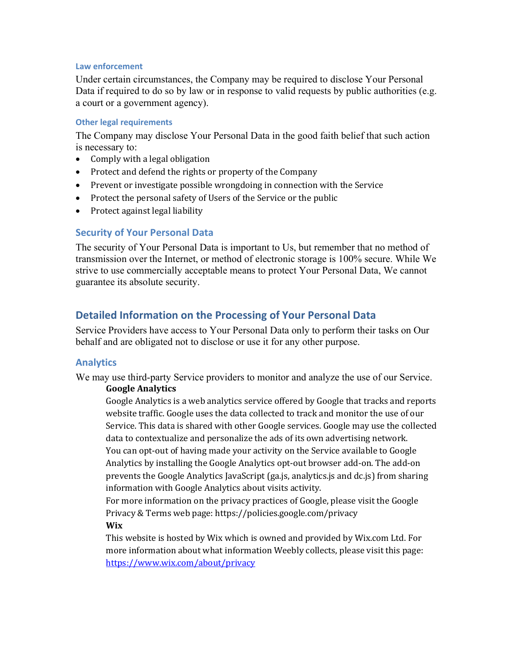#### Law enforcement

Under certain circumstances, the Company may be required to disclose Your Personal Data if required to do so by law or in response to valid requests by public authorities (e.g. a court or a government agency).

#### Other legal requirements

The Company may disclose Your Personal Data in the good faith belief that such action is necessary to:

- Comply with a legal obligation
- Protect and defend the rights or property of the Company
- Prevent or investigate possible wrongdoing in connection with the Service
- Protect the personal safety of Users of the Service or the public
- Protect against legal liability

## Security of Your Personal Data

The security of Your Personal Data is important to Us, but remember that no method of transmission over the Internet, or method of electronic storage is 100% secure. While We strive to use commercially acceptable means to protect Your Personal Data, We cannot guarantee its absolute security.

## Detailed Information on the Processing of Your Personal Data

Service Providers have access to Your Personal Data only to perform their tasks on Our behalf and are obligated not to disclose or use it for any other purpose.

## **Analytics**

We may use third-party Service providers to monitor and analyze the use of our Service.

## Google Analytics

Google Analytics is a web analytics service offered by Google that tracks and reports website traffic. Google uses the data collected to track and monitor the use of our Service. This data is shared with other Google services. Google may use the collected data to contextualize and personalize the ads of its own advertising network. You can opt-out of having made your activity on the Service available to Google Analytics by installing the Google Analytics opt-out browser add-on. The add-on prevents the Google Analytics JavaScript (ga.js, analytics.js and dc.js) from sharing information with Google Analytics about visits activity.

For more information on the privacy practices of Google, please visit the Google Privacy & Terms web page: https://policies.google.com/privacy Wix

This website is hosted by Wix which is owned and provided by Wix.com Ltd. For more information about what information Weebly collects, please visit this page: https://www.wix.com/about/privacy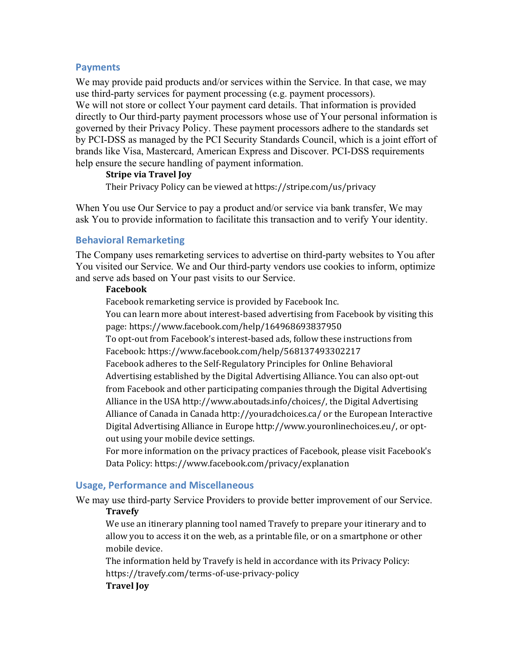#### Payments

We may provide paid products and/or services within the Service. In that case, we may use third-party services for payment processing (e.g. payment processors). We will not store or collect Your payment card details. That information is provided directly to Our third-party payment processors whose use of Your personal information is governed by their Privacy Policy. These payment processors adhere to the standards set by PCI-DSS as managed by the PCI Security Standards Council, which is a joint effort of brands like Visa, Mastercard, American Express and Discover. PCI-DSS requirements help ensure the secure handling of payment information.

#### Stripe via Travel Joy

Their Privacy Policy can be viewed at https://stripe.com/us/privacy

When You use Our Service to pay a product and/or service via bank transfer, We may ask You to provide information to facilitate this transaction and to verify Your identity.

#### Behavioral Remarketing

The Company uses remarketing services to advertise on third-party websites to You after You visited our Service. We and Our third-party vendors use cookies to inform, optimize and serve ads based on Your past visits to our Service.

#### Facebook

Facebook remarketing service is provided by Facebook Inc. You can learn more about interest-based advertising from Facebook by visiting this page: https://www.facebook.com/help/164968693837950 To opt-out from Facebook's interest-based ads, follow these instructions from Facebook: https://www.facebook.com/help/568137493302217 Facebook adheres to the Self-Regulatory Principles for Online Behavioral Advertising established by the Digital Advertising Alliance. You can also opt-out from Facebook and other participating companies through the Digital Advertising Alliance in the USA http://www.aboutads.info/choices/, the Digital Advertising Alliance of Canada in Canada http://youradchoices.ca/ or the European Interactive Digital Advertising Alliance in Europe http://www.youronlinechoices.eu/, or optout using your mobile device settings.

For more information on the privacy practices of Facebook, please visit Facebook's Data Policy: https://www.facebook.com/privacy/explanation

#### Usage, Performance and Miscellaneous

We may use third-party Service Providers to provide better improvement of our Service. Travefy

We use an itinerary planning tool named Travefy to prepare your itinerary and to allow you to access it on the web, as a printable file, or on a smartphone or other mobile device.

The information held by Travefy is held in accordance with its Privacy Policy: https://travefy.com/terms-of-use-privacy-policy Travel Joy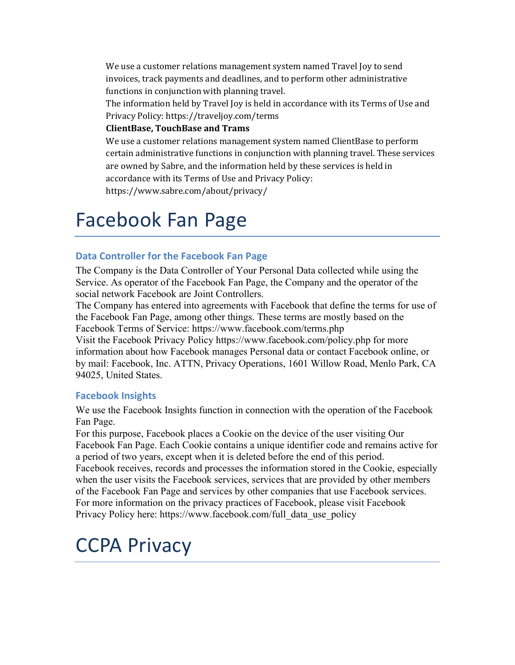We use a customer relations management system named Travel Joy to send invoices, track payments and deadlines, and to perform other administrative functions in conjunction with planning travel.

The information held by Travel Joy is held in accordance with its Terms of Use and Privacy Policy: https://traveljoy.com/terms

### ClientBase, TouchBase and Trams

We use a customer relations management system named ClientBase to perform certain administrative functions in conjunction with planning travel. These services are owned by Sabre, and the information held by these services is held in accordance with its Terms of Use and Privacy Policy: https://www.sabre.com/about/privacy/

# Facebook Fan Page

## Data Controller for the Facebook Fan Page

The Company is the Data Controller of Your Personal Data collected while using the Service. As operator of the Facebook Fan Page, the Company and the operator of the social network Facebook are Joint Controllers.

The Company has entered into agreements with Facebook that define the terms for use of the Facebook Fan Page, among other things. These terms are mostly based on the Facebook Terms of Service: https://www.facebook.com/terms.php

Visit the Facebook Privacy Policy https://www.facebook.com/policy.php for more information about how Facebook manages Personal data or contact Facebook online, or by mail: Facebook, Inc. ATTN, Privacy Operations, 1601 Willow Road, Menlo Park, CA 94025, United States.

## Facebook Insights

We use the Facebook Insights function in connection with the operation of the Facebook Fan Page.

For this purpose, Facebook places a Cookie on the device of the user visiting Our Facebook Fan Page. Each Cookie contains a unique identifier code and remains active for a period of two years, except when it is deleted before the end of this period.

Facebook receives, records and processes the information stored in the Cookie, especially when the user visits the Facebook services, services that are provided by other members of the Facebook Fan Page and services by other companies that use Facebook services. For more information on the privacy practices of Facebook, please visit Facebook Privacy Policy here: https://www.facebook.com/full\_data\_use\_policy

# CCPA Privacy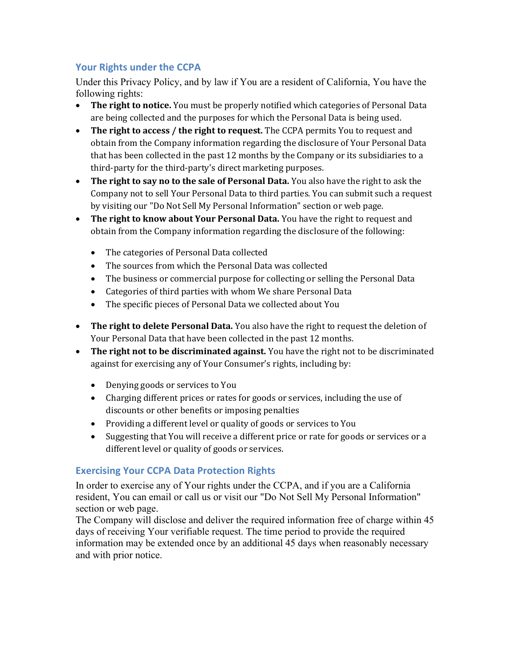## Your Rights under the CCPA

Under this Privacy Policy, and by law if You are a resident of California, You have the following rights:

- The right to notice. You must be properly notified which categories of Personal Data are being collected and the purposes for which the Personal Data is being used.
- The right to access / the right to request. The CCPA permits You to request and obtain from the Company information regarding the disclosure of Your Personal Data that has been collected in the past 12 months by the Company or its subsidiaries to a third-party for the third-party's direct marketing purposes.
- The right to say no to the sale of Personal Data. You also have the right to ask the Company not to sell Your Personal Data to third parties. You can submit such a request by visiting our "Do Not Sell My Personal Information" section or web page.
- The right to know about Your Personal Data. You have the right to request and obtain from the Company information regarding the disclosure of the following:
	- The categories of Personal Data collected
	- The sources from which the Personal Data was collected
	- The business or commercial purpose for collecting or selling the Personal Data
	- Categories of third parties with whom We share Personal Data
	- The specific pieces of Personal Data we collected about You
- The right to delete Personal Data. You also have the right to request the deletion of Your Personal Data that have been collected in the past 12 months.
- The right not to be discriminated against. You have the right not to be discriminated against for exercising any of Your Consumer's rights, including by:
	- Denying goods or services to You
	- Charging different prices or rates for goods or services, including the use of discounts or other benefits or imposing penalties
	- Providing a different level or quality of goods or services to You
	- Suggesting that You will receive a different price or rate for goods or services or a different level or quality of goods or services.

## Exercising Your CCPA Data Protection Rights

In order to exercise any of Your rights under the CCPA, and if you are a California resident, You can email or call us or visit our "Do Not Sell My Personal Information" section or web page.

The Company will disclose and deliver the required information free of charge within 45 days of receiving Your verifiable request. The time period to provide the required information may be extended once by an additional 45 days when reasonably necessary and with prior notice.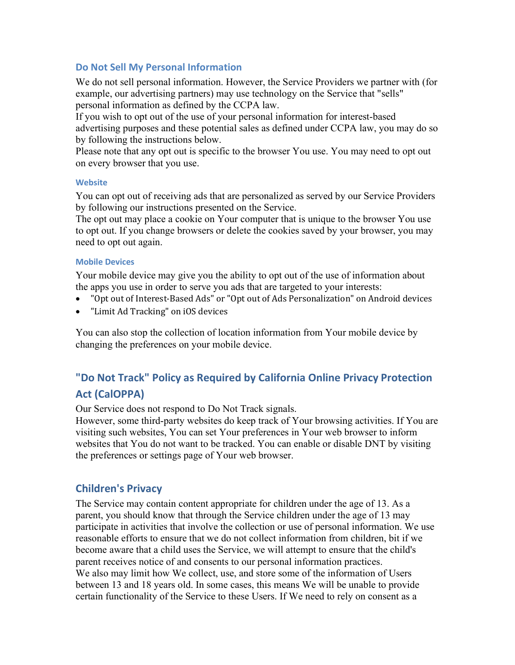### Do Not Sell My Personal Information

We do not sell personal information. However, the Service Providers we partner with (for example, our advertising partners) may use technology on the Service that "sells" personal information as defined by the CCPA law.

If you wish to opt out of the use of your personal information for interest-based advertising purposes and these potential sales as defined under CCPA law, you may do so by following the instructions below.

Please note that any opt out is specific to the browser You use. You may need to opt out on every browser that you use.

#### **Website**

You can opt out of receiving ads that are personalized as served by our Service Providers by following our instructions presented on the Service.

The opt out may place a cookie on Your computer that is unique to the browser You use to opt out. If you change browsers or delete the cookies saved by your browser, you may need to opt out again.

#### Mobile Devices

Your mobile device may give you the ability to opt out of the use of information about the apps you use in order to serve you ads that are targeted to your interests:

- "Opt out of Interest-Based Ads" or "Opt out of Ads Personalization" on Android devices
- "Limit Ad Tracking" on iOS devices

You can also stop the collection of location information from Your mobile device by changing the preferences on your mobile device.

## "Do Not Track" Policy as Required by California Online Privacy Protection Act (CalOPPA)

Our Service does not respond to Do Not Track signals.

However, some third-party websites do keep track of Your browsing activities. If You are visiting such websites, You can set Your preferences in Your web browser to inform websites that You do not want to be tracked. You can enable or disable DNT by visiting the preferences or settings page of Your web browser.

## Children's Privacy

The Service may contain content appropriate for children under the age of 13. As a parent, you should know that through the Service children under the age of 13 may participate in activities that involve the collection or use of personal information. We use reasonable efforts to ensure that we do not collect information from children, bit if we become aware that a child uses the Service, we will attempt to ensure that the child's parent receives notice of and consents to our personal information practices. We also may limit how We collect, use, and store some of the information of Users between 13 and 18 years old. In some cases, this means We will be unable to provide certain functionality of the Service to these Users. If We need to rely on consent as a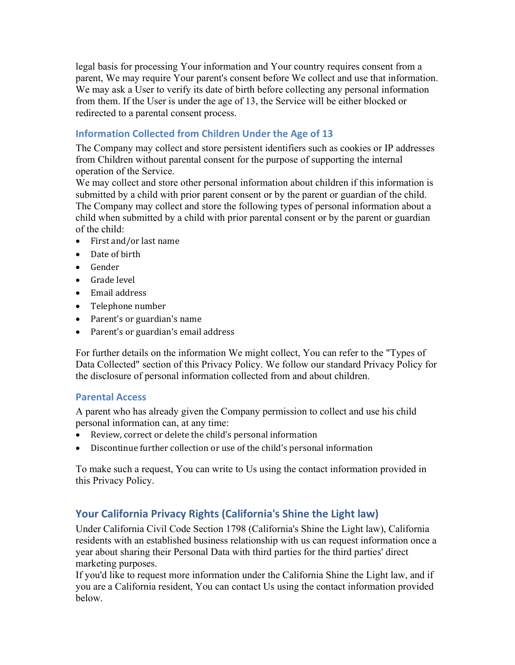legal basis for processing Your information and Your country requires consent from a parent, We may require Your parent's consent before We collect and use that information. We may ask a User to verify its date of birth before collecting any personal information from them. If the User is under the age of 13, the Service will be either blocked or redirected to a parental consent process.

## Information Collected from Children Under the Age of 13

The Company may collect and store persistent identifiers such as cookies or IP addresses from Children without parental consent for the purpose of supporting the internal operation of the Service.

We may collect and store other personal information about children if this information is submitted by a child with prior parent consent or by the parent or guardian of the child. The Company may collect and store the following types of personal information about a child when submitted by a child with prior parental consent or by the parent or guardian of the child:

- First and/or last name
- Date of birth
- Gender
- Grade level
- Email address
- Telephone number
- Parent's or guardian's name
- Parent's or guardian's email address

For further details on the information We might collect, You can refer to the "Types of Data Collected" section of this Privacy Policy. We follow our standard Privacy Policy for the disclosure of personal information collected from and about children.

#### Parental Access

A parent who has already given the Company permission to collect and use his child personal information can, at any time:

- Review, correct or delete the child's personal information
- Discontinue further collection or use of the child's personal information

To make such a request, You can write to Us using the contact information provided in this Privacy Policy.

## Your California Privacy Rights (California's Shine the Light law)

Under California Civil Code Section 1798 (California's Shine the Light law), California residents with an established business relationship with us can request information once a year about sharing their Personal Data with third parties for the third parties' direct marketing purposes.

If you'd like to request more information under the California Shine the Light law, and if you are a California resident, You can contact Us using the contact information provided below.